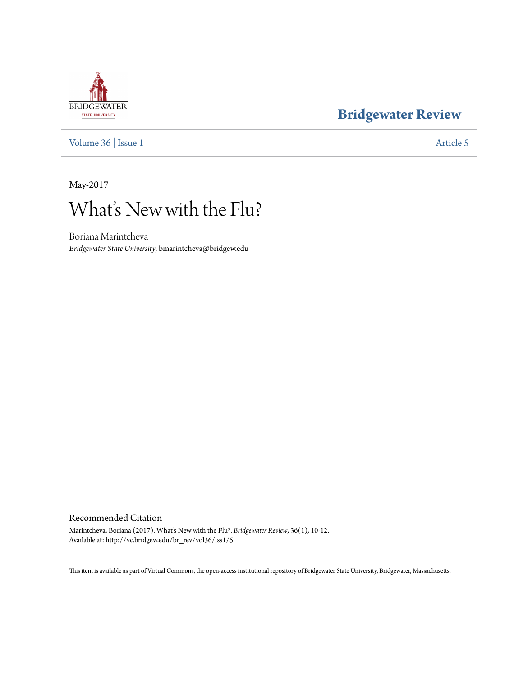# **BRIDGEWATER** STATE UNIVERSITY

### **[Bridgewater Review](http://vc.bridgew.edu/br_rev)**

[Volume 36](http://vc.bridgew.edu/br_rev/vol36) | [Issue 1](http://vc.bridgew.edu/br_rev/vol36/iss1) [Article 5](http://vc.bridgew.edu/br_rev/vol36/iss1/5)

May-2017

# What's New with the Flu?

Boriana Marintcheva *Bridgewater State University*, bmarintcheva@bridgew.edu

#### Recommended Citation

Marintcheva, Boriana (2017). What's New with the Flu?. *Bridgewater Review*, 36(1), 10-12. Available at: http://vc.bridgew.edu/br\_rev/vol36/iss1/5

This item is available as part of Virtual Commons, the open-access institutional repository of Bridgewater State University, Bridgewater, Massachusetts.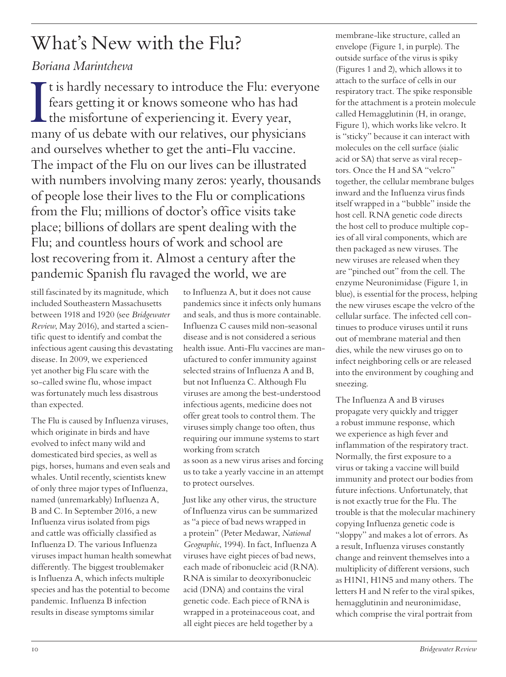# What's New with the Flu?

#### *Boriana Marintcheva*

I It is hardly necessary to introduce the Flu: everyone fears getting it or knows someone who has had the misfortune of experiencing it. Every year, many of us debate with our relatives, our physicians and ourselves whether to get the anti-Flu vaccine. The impact of the Flu on our lives can be illustrated with numbers involving many zeros: yearly, thousands of people lose their lives to the Flu or complications from the Flu; millions of doctor's office visits take place; billions of dollars are spent dealing with the Flu; and countless hours of work and school are lost recovering from it. Almost a century after the pandemic Spanish flu ravaged the world, we are

still fascinated by its magnitude, which included Southeastern Massachusetts between 1918 and 1920 (see *Bridgewater Review*, May 2016), and started a scientific quest to identify and combat the infectious agent causing this devastating disease. In 2009, we experienced yet another big Flu scare with the so-called swine flu, whose impact was fortunately much less disastrous than expected.

The Flu is caused by Influenza viruses, which originate in birds and have evolved to infect many wild and domesticated bird species, as well as pigs, horses, humans and even seals and whales. Until recently, scientists knew of only three major types of Influenza, named (unremarkably) Influenza A, B and C. In September 2016, a new Influenza virus isolated from pigs and cattle was officially classified as Influenza D. The various Influenza viruses impact human health somewhat differently. The biggest troublemaker is Influenza A, which infects multiple species and has the potential to become pandemic. Influenza B infection results in disease symptoms similar

to Influenza A, but it does not cause pandemics since it infects only humans and seals, and thus is more containable. Influenza C causes mild non-seasonal disease and is not considered a serious health issue. Anti-Flu vaccines are manufactured to confer immunity against selected strains of Influenza A and B, but not Influenza C. Although Flu viruses are among the best-understood infectious agents, medicine does not offer great tools to control them. The viruses simply change too often, thus requiring our immune systems to start working from scratch as soon as a new virus arises and forcing us to take a yearly vaccine in an attempt to protect ourselves.

Just like any other virus, the structure of Influenza virus can be summarized as "a piece of bad news wrapped in a protein" (Peter Medawar, *National Geographic*, 1994). In fact, Influenza A viruses have eight pieces of bad news, each made of ribonucleic acid (RNA). RNA is similar to deoxyribonucleic acid (DNA) and contains the viral genetic code. Each piece of RNA is wrapped in a proteinaceous coat, and all eight pieces are held together by a

membrane-like structure, called an envelope (Figure 1, in purple). The outside surface of the virus is spiky (Figures 1 and 2), which allows it to attach to the surface of cells in our respiratory tract. The spike responsible for the attachment is a protein molecule called Hemagglutinin (H, in orange, Figure 1), which works like velcro. It is "sticky" because it can interact with molecules on the cell surface (sialic acid or SA) that serve as viral receptors. Once the H and SA "velcro" together, the cellular membrane bulges inward and the Influenza virus finds itself wrapped in a "bubble" inside the host cell. RNA genetic code directs the host cell to produce multiple copies of all viral components, which are then packaged as new viruses. The new viruses are released when they are "pinched out" from the cell. The enzyme Neuronimidase (Figure 1, in blue), is essential for the process, helping the new viruses escape the velcro of the cellular surface. The infected cell continues to produce viruses until it runs out of membrane material and then dies, while the new viruses go on to infect neighboring cells or are released into the environment by coughing and sneezing.

The Influenza A and B viruses propagate very quickly and trigger a robust immune response, which we experience as high fever and inflammation of the respiratory tract. Normally, the first exposure to a virus or taking a vaccine will build immunity and protect our bodies from future infections. Unfortunately, that is not exactly true for the Flu. The trouble is that the molecular machinery copying Influenza genetic code is "sloppy" and makes a lot of errors. As a result, Influenza viruses constantly change and reinvent themselves into a multiplicity of different versions, such as H1N1, H1N5 and many others. The letters H and N refer to the viral spikes, hemagglutinin and neuronimidase, which comprise the viral portrait from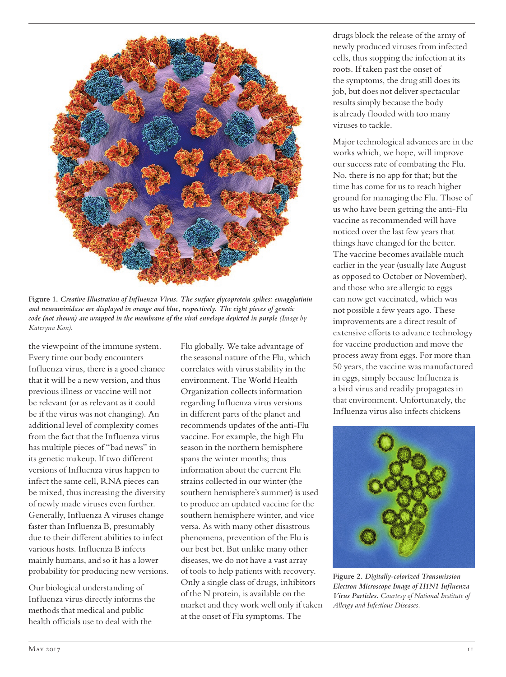

**Figure 1.** *Creative Illustration of Influenza Virus. The surface glycoprotein spikes: emagglutinin and neuraminidase are displayed in orange and blue, respectively. The eight pieces of genetic code (not shown) are wrapped in the membrane of the viral envelope depicted in purple (Image by code*) *Kateryna Kon).*

the viewpoint of the immune system. Every time our body encounters Influenza virus, there is a good chance that it will be a new version, and thus previous illness or vaccine will not be relevant (or as relevant as it could be if the virus was not changing). An additional level of complexity comes from the fact that the Influenza virus has multiple pieces of "bad news" in its genetic makeup. If two different versions of Influenza virus happen to infect the same cell, RNA pieces can be mixed, thus increasing the diversity of newly made viruses even further. Generally, Influenza A viruses change faster than Influenza B, presumably due to their different abilities to infect various hosts. Influenza B infects mainly humans, and so it has a lower probability for producing new versions.

Our biological understanding of Influenza virus directly informs the methods that medical and public health officials use to deal with the

Flu globally. We take advantage of the seasonal nature of the Flu, which correlates with virus stability in the environment. The World Health Organization collects information regarding Influenza virus versions in different parts of the planet and recommends updates of the anti-Flu vaccine. For example, the high Flu season in the northern hemisphere spans the winter months; thus information about the current Flu strains collected in our winter (the southern hemisphere's summer) is used to produce an updated vaccine for the southern hemisphere winter, and vice versa. As with many other disastrous phenomena, prevention of the Flu is our best bet. But unlike many other diseases, we do not have a vast array of tools to help patients with recovery. Only a single class of drugs, inhibitors of the N protein, is available on the market and they work well only if taken at the onset of Flu symptoms. The

drugs block the release of the army of newly produced viruses from infected cells, thus stopping the infection at its roots. If taken past the onset of the symptoms, the drug still does its job, but does not deliver spectacular results simply because the body is already flooded with too many viruses to tackle.

Major technological advances are in the works which, we hope, will improve our success rate of combating the Flu. No, there is no app for that; but the time has come for us to reach higher ground for managing the Flu. Those of us who have been getting the anti-Flu vaccine as recommended will have noticed over the last few years that things have changed for the better. The vaccine becomes available much earlier in the year (usually late August as opposed to October or November), and those who are allergic to eggs can now get vaccinated, which was not possible a few years ago. These improvements are a direct result of extensive efforts to advance technology for vaccine production and move the process away from eggs. For more than 50 years, the vaccine was manufactured in eggs, simply because Influenza is a bird virus and readily propagates in that environment. Unfortunately, the Influenza virus also infects chickens



**Figure 2.** *Digitally-colorized Transmission Electron Microscope Image of H1N1 Influenza Virus Particles. Courtesy of National Institute of Allergy and Infectious Diseases.*